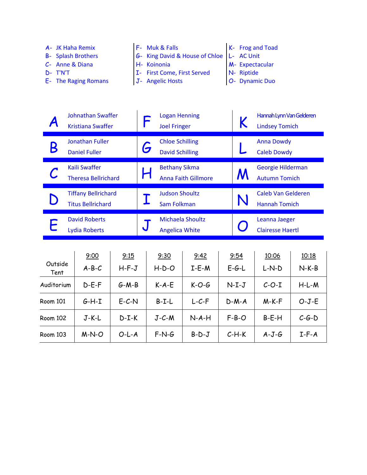| A- JK Haha Remix          | $F-$ Muk & Falls                          | $K-$ Frog and Toad |
|---------------------------|-------------------------------------------|--------------------|
| <b>B-</b> Splash Brothers | 6- King David & House of Chloe L- AC Unit |                    |
| $C$ - Anne & Diana        | H- Koinonia                               | M- Expectacular    |
| $D - T'NT$                | I- First Come, First Served               | N- Riptide         |

- E- The Raging Romans
- 
- J- Angelic Hosts
- O- Dynamic Duo

| Johnathan Swaffer<br><b>Kristiana Swaffer</b>          |   | <b>Logan Henning</b><br><b>Joel Fringer</b>        | Hannah Lynn Van Gelderen<br><b>Lindsey Tomich</b> |
|--------------------------------------------------------|---|----------------------------------------------------|---------------------------------------------------|
| <b>Jonathan Fuller</b><br><b>Daniel Fuller</b>         | G | <b>Chloe Schilling</b><br><b>David Schilling</b>   | <b>Anna Dowdy</b><br><b>Caleb Dowdy</b>           |
| <b>Kaili Swaffer</b><br><b>Theresa Bellrichard</b>     |   | <b>Bethany Sikma</b><br><b>Anna Faith Gillmore</b> | Georgie Hilderman<br><b>Autumn Tomich</b>         |
| <b>Tiffany Bellrichard</b><br><b>Titus Bellrichard</b> |   | <b>Judson Shoultz</b><br>Sam Folkman               | <b>Caleb Van Gelderen</b><br><b>Hannah Tomich</b> |
| <b>David Roberts</b><br><b>Lydia Roberts</b>           |   | <b>Michaela Shoultz</b><br><b>Angelica White</b>   | Leanna Jaeger<br><b>Clairesse Haertl</b>          |

|                 | 9:00    | 9:15    | 9:30        | 9:42    | 9:54    | 10:06   | 10:18   |
|-----------------|---------|---------|-------------|---------|---------|---------|---------|
| Outside<br>Tent | $A-B-C$ | $H-F-J$ | $H-D-O$     | $I-E-M$ | $E-G-L$ | $L-N-D$ | $N-K-B$ |
| Auditorium      | $D-E-F$ | $G-M-B$ | $K-A-E$     | $K-O-G$ | $N-I-J$ | $C-O-I$ | $H-L-M$ |
| <b>Room 101</b> | $G-H-I$ | $E-C-N$ | $B-I-L$     | $L-C-F$ | $D-M-A$ | $M-K-F$ | $O-J-E$ |
| <b>Room 102</b> | $J-K-L$ | $D-I-K$ | $J - C - M$ | $N-A-H$ | $F-B-O$ | $B-E-H$ | $C-G-D$ |
| <b>Room 103</b> | $M-N-O$ | $O-L-A$ | $F-N-G$     | $B-D-J$ | $C-H-K$ | $A-J-G$ | $I-F-A$ |